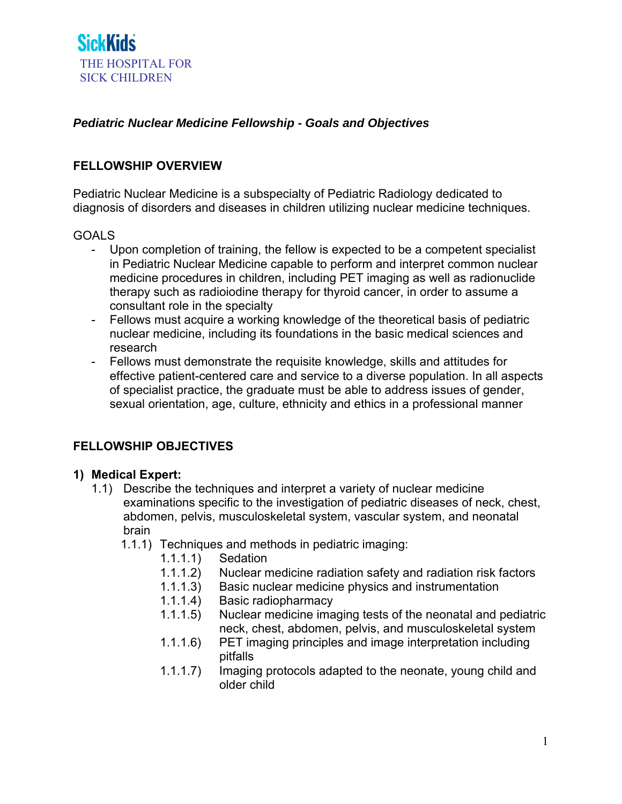### *Pediatric Nuclear Medicine Fellowship - Goals and Objectives*

#### **FELLOWSHIP OVERVIEW**

Pediatric Nuclear Medicine is a subspecialty of Pediatric Radiology dedicated to diagnosis of disorders and diseases in children utilizing nuclear medicine techniques.

#### GOALS

- Upon completion of training, the fellow is expected to be a competent specialist in Pediatric Nuclear Medicine capable to perform and interpret common nuclear medicine procedures in children, including PET imaging as well as radionuclide therapy such as radioiodine therapy for thyroid cancer, in order to assume a consultant role in the specialty
- Fellows must acquire a working knowledge of the theoretical basis of pediatric nuclear medicine, including its foundations in the basic medical sciences and research
- Fellows must demonstrate the requisite knowledge, skills and attitudes for effective patient-centered care and service to a diverse population. In all aspects of specialist practice, the graduate must be able to address issues of gender, sexual orientation, age, culture, ethnicity and ethics in a professional manner

### **FELLOWSHIP OBJECTIVES**

#### **1) Medical Expert:**

- 1.1) Describe the techniques and interpret a variety of nuclear medicine examinations specific to the investigation of pediatric diseases of neck, chest, abdomen, pelvis, musculoskeletal system, vascular system, and neonatal brain
	- 1.1.1) Techniques and methods in pediatric imaging:
		- 1.1.1.1) Sedation
		- 1.1.1.2) Nuclear medicine radiation safety and radiation risk factors
		- 1.1.1.3) Basic nuclear medicine physics and instrumentation
		- 1.1.1.4) Basic radiopharmacy
		- 1.1.1.5) Nuclear medicine imaging tests of the neonatal and pediatric neck, chest, abdomen, pelvis, and musculoskeletal system
		- 1.1.1.6) PET imaging principles and image interpretation including pitfalls
		- 1.1.1.7) Imaging protocols adapted to the neonate, young child and older child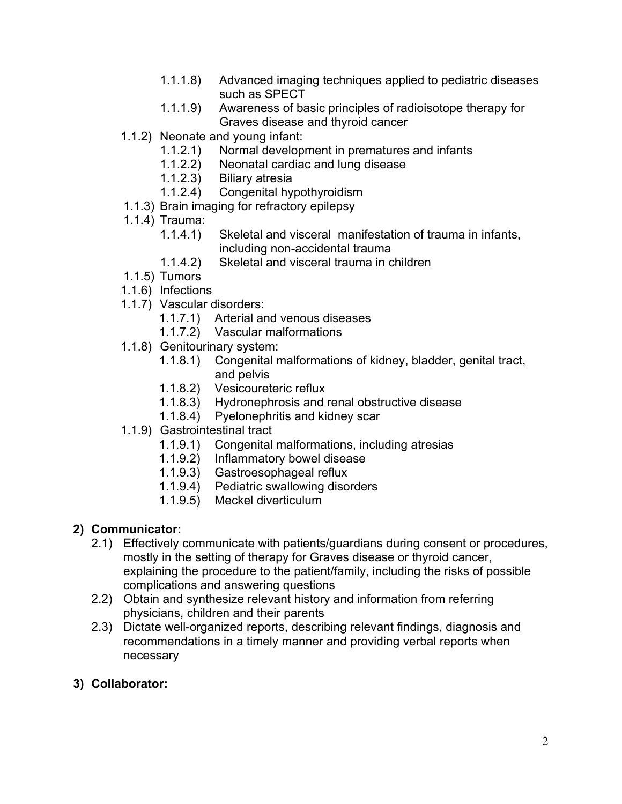- 1.1.1.8) Advanced imaging techniques applied to pediatric diseases such as SPECT
- 1.1.1.9) Awareness of basic principles of radioisotope therapy for Graves disease and thyroid cancer
- 1.1.2) Neonate and young infant:
	- 1.1.2.1) Normal development in prematures and infants
	- 1.1.2.2) Neonatal cardiac and lung disease
	- 1.1.2.3) Biliary atresia
	- 1.1.2.4) Congenital hypothyroidism
- 1.1.3) Brain imaging for refractory epilepsy
- 1.1.4) Trauma:
	- 1.1.4.1) Skeletal and visceral manifestation of trauma in infants, including non-accidental trauma
	- 1.1.4.2) Skeletal and visceral trauma in children
- 1.1.5) Tumors
- 1.1.6) Infections
- 1.1.7) Vascular disorders:
	- 1.1.7.1) Arterial and venous diseases
	- 1.1.7.2) Vascular malformations
- 1.1.8) Genitourinary system:
	- 1.1.8.1) Congenital malformations of kidney, bladder, genital tract, and pelvis
	- 1.1.8.2) Vesicoureteric reflux
	- 1.1.8.3) Hydronephrosis and renal obstructive disease
	- 1.1.8.4) Pyelonephritis and kidney scar
- 1.1.9) Gastrointestinal tract
	- 1.1.9.1) Congenital malformations, including atresias
	- 1.1.9.2) Inflammatory bowel disease
	- 1.1.9.3) Gastroesophageal reflux
	- 1.1.9.4) Pediatric swallowing disorders
	- 1.1.9.5) Meckel diverticulum

# **2) Communicator:**

- 2.1) Effectively communicate with patients/guardians during consent or procedures, mostly in the setting of therapy for Graves disease or thyroid cancer, explaining the procedure to the patient/family, including the risks of possible complications and answering questions
- 2.2) Obtain and synthesize relevant history and information from referring physicians, children and their parents
- 2.3) Dictate well-organized reports, describing relevant findings, diagnosis and recommendations in a timely manner and providing verbal reports when necessary
- **3) Collaborator:**